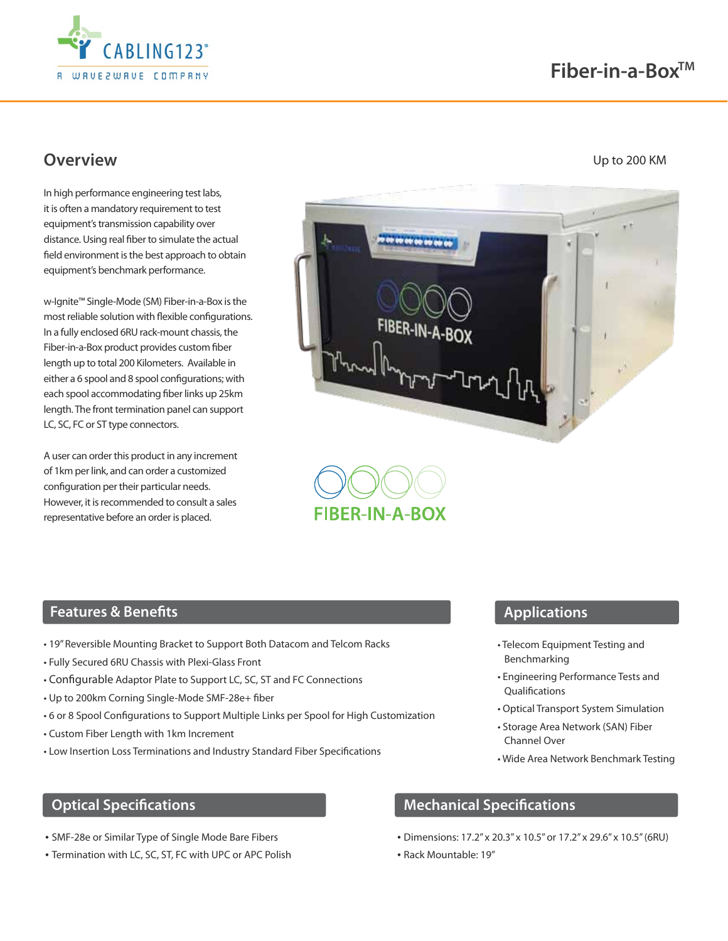

# **Fiber-in-a-BoxTM**

### **Overview**

In high performance engineering test labs, it is often a mandatory requirement to test equipment's transmission capability over distance. Using real fiber to simulate the actual field environment is the best approach to obtain equipment's benchmark performance.

w-Ignite™ Single-Mode (SM) Fiber-in-a-Box is the most reliable solution with flexible configurations. In a fully enclosed 6RU rack-mount chassis, the Fiber-in-a-Box product provides custom fiber length up to total 200 Kilometers. Available in either a 6 spool and 8 spool configurations; with each spool accommodating fiber links up 25km length. The front termination panel can support LC, SC, FC or ST type connectors.

A user can order this product in any increment of 1km per link, and can order a customized configuration per their particular needs. However, it is recommended to consult a sales representative before an order is placed.



**FIBER-IN-A-BOX** 

#### **Features & Benefits**

- 19" Reversible Mounting Bracket to Support Both Datacom and Telcom Racks
- Fully Secured 6RU Chassis with Plexi-Glass Front
- Configurable Adaptor Plate to Support LC, SC, ST and FC Connections
- Up to 200km Corning Single-Mode SMF-28e+ fiber
- 6 or 8 Spool Configurations to Support Multiple Links per Spool for High Customization
- Custom Fiber Length with 1km Increment
- Low Insertion Loss Terminations and Industry Standard Fiber Specifications

### **Optical Specifications**

- SMF-28e or Similar Type of Single Mode Bare Fibers
- Termination with LC, SC, ST, FC with UPC or APC Polish

#### **Applications**

- Telecom Equipment Testing and Benchmarking
- Engineering Performance Tests and Qualifications
- Optical Transport System Simulation
- Storage Area Network (SAN) Fiber Channel Over
- Wide Area Network Benchmark Testing

#### **Mechanical Specifications**

- Dimensions: 17.2" x 20.3" x 10.5" or 17.2" x 29.6" x 10.5" (6RU)
- Rack Mountable: 19"

#### Up to 200 KM